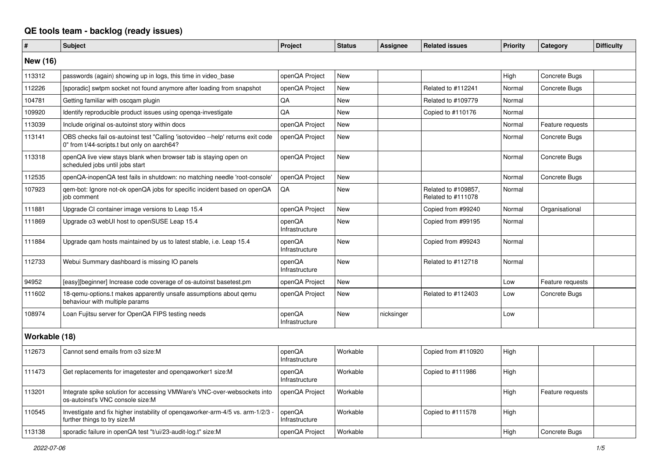## **QE tools team - backlog (ready issues)**

| #               | <b>Subject</b>                                                                                                                 | Project                  | <b>Status</b> | <b>Assignee</b> | <b>Related issues</b>                     | <b>Priority</b> | Category         | <b>Difficulty</b> |
|-----------------|--------------------------------------------------------------------------------------------------------------------------------|--------------------------|---------------|-----------------|-------------------------------------------|-----------------|------------------|-------------------|
| <b>New (16)</b> |                                                                                                                                |                          |               |                 |                                           |                 |                  |                   |
| 113312          | passwords (again) showing up in logs, this time in video_base                                                                  | openQA Project           | <b>New</b>    |                 |                                           | High            | Concrete Bugs    |                   |
| 112226          | [sporadic] swtpm socket not found anymore after loading from snapshot                                                          | openQA Project           | <b>New</b>    |                 | Related to #112241                        | Normal          | Concrete Bugs    |                   |
| 104781          | Getting familiar with oscgam plugin                                                                                            | QA                       | <b>New</b>    |                 | Related to #109779                        | Normal          |                  |                   |
| 109920          | Identify reproducible product issues using openga-investigate                                                                  | QA                       | <b>New</b>    |                 | Copied to #110176                         | Normal          |                  |                   |
| 113039          | Include original os-autoinst story within docs                                                                                 | openQA Project           | <b>New</b>    |                 |                                           | Normal          | Feature requests |                   |
| 113141          | OBS checks fail os-autoinst test "Calling 'isotovideo --help' returns exit code<br>0" from t/44-scripts.t but only on aarch64? | openQA Project           | <b>New</b>    |                 |                                           | Normal          | Concrete Bugs    |                   |
| 113318          | openQA live view stays blank when browser tab is staying open on<br>scheduled jobs until jobs start                            | openQA Project           | <b>New</b>    |                 |                                           | Normal          | Concrete Bugs    |                   |
| 112535          | openQA-inopenQA test fails in shutdown: no matching needle 'root-console'                                                      | openQA Project           | <b>New</b>    |                 |                                           | Normal          | Concrete Bugs    |                   |
| 107923          | gem-bot: Ignore not-ok openQA jobs for specific incident based on openQA<br>job comment                                        | QA                       | <b>New</b>    |                 | Related to #109857,<br>Related to #111078 | Normal          |                  |                   |
| 111881          | Upgrade CI container image versions to Leap 15.4                                                                               | openQA Project           | <b>New</b>    |                 | Copied from #99240                        | Normal          | Organisational   |                   |
| 111869          | Upgrade o3 webUI host to openSUSE Leap 15.4                                                                                    | openQA<br>Infrastructure | <b>New</b>    |                 | Copied from #99195                        | Normal          |                  |                   |
| 111884          | Upgrade qam hosts maintained by us to latest stable, i.e. Leap 15.4                                                            | openQA<br>Infrastructure | <b>New</b>    |                 | Copied from #99243                        | Normal          |                  |                   |
| 112733          | Webui Summary dashboard is missing IO panels                                                                                   | openQA<br>Infrastructure | <b>New</b>    |                 | Related to #112718                        | Normal          |                  |                   |
| 94952           | [easy][beginner] Increase code coverage of os-autoinst basetest.pm                                                             | openQA Project           | <b>New</b>    |                 |                                           | Low             | Feature requests |                   |
| 111602          | 18-qemu-options.t makes apparently unsafe assumptions about qemu<br>behaviour with multiple params                             | openQA Project           | <b>New</b>    |                 | Related to #112403                        | Low             | Concrete Bugs    |                   |
| 108974          | Loan Fujitsu server for OpenQA FIPS testing needs                                                                              | openQA<br>Infrastructure | <b>New</b>    | nicksinger      |                                           | Low             |                  |                   |
| Workable (18)   |                                                                                                                                |                          |               |                 |                                           |                 |                  |                   |
| 112673          | Cannot send emails from o3 size:M                                                                                              | openQA<br>Infrastructure | Workable      |                 | Copied from #110920                       | High            |                  |                   |
| 111473          | Get replacements for imagetester and opengaworker1 size:M                                                                      | openQA<br>Infrastructure | Workable      |                 | Copied to #111986                         | High            |                  |                   |
| 113201          | Integrate spike solution for accessing VMWare's VNC-over-websockets into<br>os-autoinst's VNC console size:M                   | openQA Project           | Workable      |                 |                                           | High            | Feature requests |                   |
| 110545          | Investigate and fix higher instability of opengaworker-arm-4/5 vs. arm-1/2/3 -<br>further things to try size:M                 | openQA<br>Infrastructure | Workable      |                 | Copied to #111578                         | High            |                  |                   |
| 113138          | sporadic failure in openQA test "t/ui/23-audit-log.t" size:M                                                                   | openQA Project           | Workable      |                 |                                           | High            | Concrete Bugs    |                   |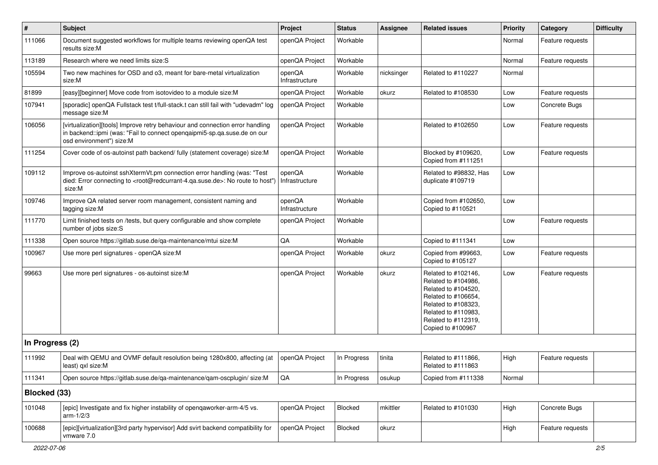| $\vert$ #       | <b>Subject</b>                                                                                                                                                                                    | Project                  | <b>Status</b> | Assignee   | <b>Related issues</b>                                                                                                                                                              | <b>Priority</b> | Category         | <b>Difficulty</b> |
|-----------------|---------------------------------------------------------------------------------------------------------------------------------------------------------------------------------------------------|--------------------------|---------------|------------|------------------------------------------------------------------------------------------------------------------------------------------------------------------------------------|-----------------|------------------|-------------------|
| 111066          | Document suggested workflows for multiple teams reviewing openQA test<br>results size:M                                                                                                           | openQA Project           | Workable      |            |                                                                                                                                                                                    | Normal          | Feature requests |                   |
| 113189          | Research where we need limits size:S                                                                                                                                                              | openQA Project           | Workable      |            |                                                                                                                                                                                    | Normal          | Feature requests |                   |
| 105594          | Two new machines for OSD and 03, meant for bare-metal virtualization<br>size:M                                                                                                                    | openQA<br>Infrastructure | Workable      | nicksinger | Related to #110227                                                                                                                                                                 | Normal          |                  |                   |
| 81899           | [easy][beginner] Move code from isotovideo to a module size: M                                                                                                                                    | openQA Project           | Workable      | okurz      | Related to #108530                                                                                                                                                                 | Low             | Feature requests |                   |
| 107941          | [sporadic] openQA Fullstack test t/full-stack.t can still fail with "udevadm" log<br>message size:M                                                                                               | openQA Project           | Workable      |            |                                                                                                                                                                                    | Low             | Concrete Bugs    |                   |
| 106056          | [virtualization][tools] Improve retry behaviour and connection error handling<br>in backend::ipmi (was: "Fail to connect openqaipmi5-sp.qa.suse.de on our<br>osd environment") size:M             | openQA Project           | Workable      |            | Related to #102650                                                                                                                                                                 | Low             | Feature requests |                   |
| 111254          | Cover code of os-autoinst path backend/ fully (statement coverage) size:M                                                                                                                         | openQA Project           | Workable      |            | Blocked by #109620,<br>Copied from #111251                                                                                                                                         | Low             | Feature requests |                   |
| 109112          | Improve os-autoinst sshXtermVt.pm connection error handling (was: "Test<br>died: Error connecting to <root@redcurrant-4.ga.suse.de>: No route to host")<br/>size:M</root@redcurrant-4.ga.suse.de> | openQA<br>Infrastructure | Workable      |            | Related to #98832, Has<br>duplicate #109719                                                                                                                                        | Low             |                  |                   |
| 109746          | Improve QA related server room management, consistent naming and<br>tagging size:M                                                                                                                | openQA<br>Infrastructure | Workable      |            | Copied from #102650,<br>Copied to #110521                                                                                                                                          | Low             |                  |                   |
| 111770          | Limit finished tests on /tests, but query configurable and show complete<br>number of jobs size:S                                                                                                 | openQA Project           | Workable      |            |                                                                                                                                                                                    | Low             | Feature requests |                   |
| 111338          | Open source https://gitlab.suse.de/qa-maintenance/mtui size:M                                                                                                                                     | QA                       | Workable      |            | Copied to #111341                                                                                                                                                                  | Low             |                  |                   |
| 100967          | Use more perl signatures - openQA size:M                                                                                                                                                          | openQA Project           | Workable      | okurz      | Copied from #99663,<br>Copied to #105127                                                                                                                                           | Low             | Feature requests |                   |
| 99663           | Use more perl signatures - os-autoinst size:M                                                                                                                                                     | openQA Project           | Workable      | okurz      | Related to #102146,<br>Related to #104986,<br>Related to #104520,<br>Related to #106654,<br>Related to #108323,<br>Related to #110983,<br>Related to #112319,<br>Copied to #100967 | Low             | Feature requests |                   |
| In Progress (2) |                                                                                                                                                                                                   |                          |               |            |                                                                                                                                                                                    |                 |                  |                   |
| 111992          | Deal with QEMU and OVMF default resolution being 1280x800, affecting (at<br>least) qxl size:M                                                                                                     | openQA Project           | In Progress   | tinita     | Related to #111866,<br>Related to #111863                                                                                                                                          | High            | Feature requests |                   |
| 111341          | Open source https://gitlab.suse.de/qa-maintenance/qam-oscplugin/ size:M                                                                                                                           | $\mathsf{QA}$            | In Progress   | osukup     | Copied from #111338                                                                                                                                                                | Normal          |                  |                   |
| Blocked (33)    |                                                                                                                                                                                                   |                          |               |            |                                                                                                                                                                                    |                 |                  |                   |
| 101048          | [epic] Investigate and fix higher instability of openqaworker-arm-4/5 vs.<br>$arm-1/2/3$                                                                                                          | openQA Project           | Blocked       | mkittler   | Related to #101030                                                                                                                                                                 | High            | Concrete Bugs    |                   |
| 100688          | [epic][virtualization][3rd party hypervisor] Add svirt backend compatibility for<br>vmware 7.0                                                                                                    | openQA Project           | Blocked       | okurz      |                                                                                                                                                                                    | High            | Feature requests |                   |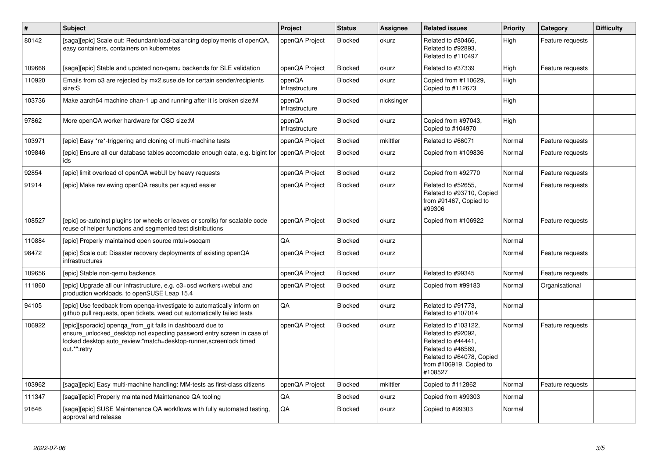| $\sharp$ | <b>Subject</b>                                                                                                                                                                                                             | Project                  | <b>Status</b>  | Assignee   | <b>Related issues</b>                                                                                                                                    | <b>Priority</b> | Category         | <b>Difficulty</b> |
|----------|----------------------------------------------------------------------------------------------------------------------------------------------------------------------------------------------------------------------------|--------------------------|----------------|------------|----------------------------------------------------------------------------------------------------------------------------------------------------------|-----------------|------------------|-------------------|
| 80142    | [saga][epic] Scale out: Redundant/load-balancing deployments of openQA,<br>easy containers, containers on kubernetes                                                                                                       | openQA Project           | <b>Blocked</b> | okurz      | Related to #80466.<br>Related to #92893,<br>Related to #110497                                                                                           | High            | Feature requests |                   |
| 109668   | [saga][epic] Stable and updated non-qemu backends for SLE validation                                                                                                                                                       | openQA Project           | <b>Blocked</b> | okurz      | Related to #37339                                                                                                                                        | High            | Feature requests |                   |
| 110920   | Emails from o3 are rejected by mx2.suse.de for certain sender/recipients<br>size:S                                                                                                                                         | openQA<br>Infrastructure | Blocked        | okurz      | Copied from #110629,<br>Copied to #112673                                                                                                                | High            |                  |                   |
| 103736   | Make aarch64 machine chan-1 up and running after it is broken size: M                                                                                                                                                      | openQA<br>Infrastructure | Blocked        | nicksinger |                                                                                                                                                          | High            |                  |                   |
| 97862    | More openQA worker hardware for OSD size:M                                                                                                                                                                                 | openQA<br>Infrastructure | <b>Blocked</b> | okurz      | Copied from #97043,<br>Copied to #104970                                                                                                                 | High            |                  |                   |
| 103971   | [epic] Easy *re*-triggering and cloning of multi-machine tests                                                                                                                                                             | openQA Project           | <b>Blocked</b> | mkittler   | Related to #66071                                                                                                                                        | Normal          | Feature requests |                   |
| 109846   | [epic] Ensure all our database tables accomodate enough data, e.g. bigint for<br>ids                                                                                                                                       | openQA Project           | Blocked        | okurz      | Copied from #109836                                                                                                                                      | Normal          | Feature requests |                   |
| 92854    | [epic] limit overload of openQA webUI by heavy requests                                                                                                                                                                    | openQA Project           | <b>Blocked</b> | okurz      | Copied from #92770                                                                                                                                       | Normal          | Feature requests |                   |
| 91914    | [epic] Make reviewing openQA results per squad easier                                                                                                                                                                      | openQA Project           | Blocked        | okurz      | Related to #52655,<br>Related to #93710, Copied<br>from #91467, Copied to<br>#99306                                                                      | Normal          | Feature requests |                   |
| 108527   | [epic] os-autoinst plugins (or wheels or leaves or scrolls) for scalable code<br>reuse of helper functions and segmented test distributions                                                                                | openQA Project           | <b>Blocked</b> | okurz      | Copied from #106922                                                                                                                                      | Normal          | Feature requests |                   |
| 110884   | [epic] Properly maintained open source mtui+oscqam                                                                                                                                                                         | QA                       | <b>Blocked</b> | okurz      |                                                                                                                                                          | Normal          |                  |                   |
| 98472    | [epic] Scale out: Disaster recovery deployments of existing openQA<br>infrastructures                                                                                                                                      | openQA Project           | Blocked        | okurz      |                                                                                                                                                          | Normal          | Feature requests |                   |
| 109656   | [epic] Stable non-gemu backends                                                                                                                                                                                            | openQA Project           | <b>Blocked</b> | okurz      | Related to #99345                                                                                                                                        | Normal          | Feature requests |                   |
| 111860   | [epic] Upgrade all our infrastructure, e.g. o3+osd workers+webui and<br>production workloads, to openSUSE Leap 15.4                                                                                                        | openQA Project           | <b>Blocked</b> | okurz      | Copied from #99183                                                                                                                                       | Normal          | Organisational   |                   |
| 94105    | [epic] Use feedback from openqa-investigate to automatically inform on<br>github pull requests, open tickets, weed out automatically failed tests                                                                          | QA                       | Blocked        | okurz      | Related to #91773,<br>Related to #107014                                                                                                                 | Normal          |                  |                   |
| 106922   | [epic][sporadic] openqa_from_git fails in dashboard due to<br>ensure_unlocked_desktop not expecting password entry screen in case of<br>locked desktop auto_review:"match=desktop-runner, screenlock timed<br>out.*":retry | openQA Project           | <b>Blocked</b> | okurz      | Related to #103122,<br>Related to #92092,<br>Related to #44441,<br>Related to #46589.<br>Related to #64078, Copied<br>from #106919, Copied to<br>#108527 | Normal          | Feature requests |                   |
| 103962   | [saga][epic] Easy multi-machine handling: MM-tests as first-class citizens                                                                                                                                                 | openQA Project           | <b>Blocked</b> | mkittler   | Copied to #112862                                                                                                                                        | Normal          | Feature requests |                   |
| 111347   | [saga][epic] Properly maintained Maintenance QA tooling                                                                                                                                                                    | QA                       | Blocked        | okurz      | Copied from #99303                                                                                                                                       | Normal          |                  |                   |
| 91646    | [saga][epic] SUSE Maintenance QA workflows with fully automated testing,<br>approval and release                                                                                                                           | QA                       | Blocked        | okurz      | Copied to #99303                                                                                                                                         | Normal          |                  |                   |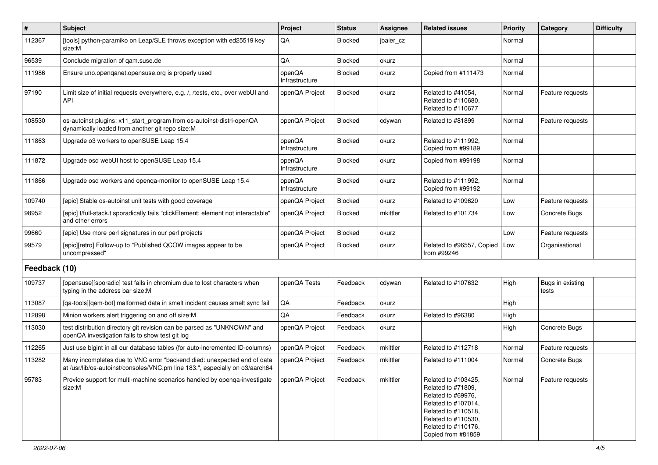| #             | <b>Subject</b>                                                                                                                                          | Project                  | <b>Status</b>  | <b>Assignee</b> | <b>Related issues</b>                                                                                                                                                             | <b>Priority</b> | Category                  | <b>Difficulty</b> |
|---------------|---------------------------------------------------------------------------------------------------------------------------------------------------------|--------------------------|----------------|-----------------|-----------------------------------------------------------------------------------------------------------------------------------------------------------------------------------|-----------------|---------------------------|-------------------|
| 112367        | [tools] python-paramiko on Leap/SLE throws exception with ed25519 key<br>size:M                                                                         | QA                       | <b>Blocked</b> | jbaier_cz       |                                                                                                                                                                                   | Normal          |                           |                   |
| 96539         | Conclude migration of qam.suse.de                                                                                                                       | QA                       | <b>Blocked</b> | okurz           |                                                                                                                                                                                   | Normal          |                           |                   |
| 111986        | Ensure uno openganet opensuse org is properly used                                                                                                      | openQA<br>Infrastructure | <b>Blocked</b> | okurz           | Copied from #111473                                                                                                                                                               | Normal          |                           |                   |
| 97190         | Limit size of initial requests everywhere, e.g. /, /tests, etc., over webUI and<br>API                                                                  | openQA Project           | Blocked        | okurz           | Related to #41054,<br>Related to #110680,<br>Related to #110677                                                                                                                   | Normal          | Feature requests          |                   |
| 108530        | os-autoinst plugins: x11_start_program from os-autoinst-distri-openQA<br>dynamically loaded from another git repo size:M                                | openQA Project           | Blocked        | cdywan          | Related to #81899                                                                                                                                                                 | Normal          | Feature requests          |                   |
| 111863        | Upgrade o3 workers to openSUSE Leap 15.4                                                                                                                | openQA<br>Infrastructure | Blocked        | okurz           | Related to #111992,<br>Copied from #99189                                                                                                                                         | Normal          |                           |                   |
| 111872        | Upgrade osd webUI host to openSUSE Leap 15.4                                                                                                            | openQA<br>Infrastructure | Blocked        | okurz           | Copied from #99198                                                                                                                                                                | Normal          |                           |                   |
| 111866        | Upgrade osd workers and openga-monitor to openSUSE Leap 15.4                                                                                            | openQA<br>Infrastructure | <b>Blocked</b> | okurz           | Related to #111992,<br>Copied from #99192                                                                                                                                         | Normal          |                           |                   |
| 109740        | [epic] Stable os-autoinst unit tests with good coverage                                                                                                 | openQA Project           | <b>Blocked</b> | okurz           | Related to #109620                                                                                                                                                                | Low             | Feature requests          |                   |
| 98952         | [epic] t/full-stack.t sporadically fails "clickElement: element not interactable"<br>and other errors                                                   | openQA Project           | <b>Blocked</b> | mkittler        | Related to #101734                                                                                                                                                                | Low             | Concrete Bugs             |                   |
| 99660         | [epic] Use more perl signatures in our perl projects                                                                                                    | openQA Project           | <b>Blocked</b> | okurz           |                                                                                                                                                                                   | Low             | Feature requests          |                   |
| 99579         | [epic][retro] Follow-up to "Published QCOW images appear to be<br>uncompressed"                                                                         | openQA Project           | Blocked        | okurz           | Related to #96557, Copied<br>from #99246                                                                                                                                          | Low             | Organisational            |                   |
| Feedback (10) |                                                                                                                                                         |                          |                |                 |                                                                                                                                                                                   |                 |                           |                   |
| 109737        | [opensuse][sporadic] test fails in chromium due to lost characters when<br>typing in the address bar size:M                                             | openQA Tests             | Feedback       | cdywan          | Related to #107632                                                                                                                                                                | High            | Bugs in existing<br>tests |                   |
| 113087        | [qa-tools][qem-bot] malformed data in smelt incident causes smelt sync fail                                                                             | QA                       | Feedback       | okurz           |                                                                                                                                                                                   | High            |                           |                   |
| 112898        | Minion workers alert triggering on and off size:M                                                                                                       | QA                       | Feedback       | okurz           | Related to #96380                                                                                                                                                                 | High            |                           |                   |
| 113030        | test distribution directory git revision can be parsed as "UNKNOWN" and<br>openQA investigation fails to show test git log                              | openQA Project           | Feedback       | okurz           |                                                                                                                                                                                   | High            | Concrete Bugs             |                   |
| 112265        | Just use bigint in all our database tables (for auto-incremented ID-columns)                                                                            | openQA Project           | Feedback       | mkittler        | Related to #112718                                                                                                                                                                | Normal          | Feature requests          |                   |
| 113282        | Many incompletes due to VNC error "backend died: unexpected end of data<br>at /usr/lib/os-autoinst/consoles/VNC.pm line 183.", especially on o3/aarch64 | openQA Project           | Feedback       | mkittler        | Related to #111004                                                                                                                                                                | Normal          | Concrete Bugs             |                   |
| 95783         | Provide support for multi-machine scenarios handled by openga-investigate<br>size:M                                                                     | openQA Project           | Feedback       | mkittler        | Related to #103425,<br>Related to #71809.<br>Related to #69976,<br>Related to #107014,<br>Related to #110518,<br>Related to #110530,<br>Related to #110176,<br>Copied from #81859 | Normal          | Feature requests          |                   |